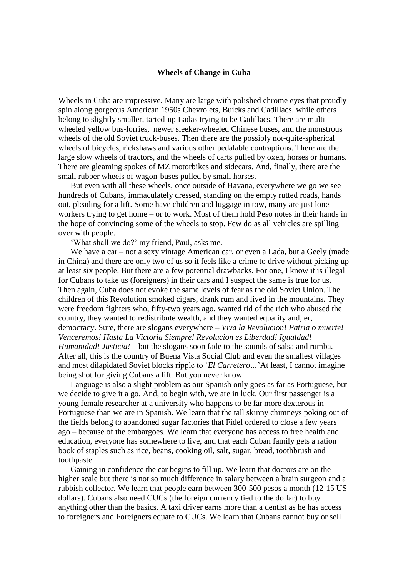## **Wheels of Change in Cuba**

Wheels in Cuba are impressive. Many are large with polished chrome eyes that proudly spin along gorgeous American 1950s Chevrolets, Buicks and Cadillacs, while others belong to slightly smaller, tarted-up Ladas trying to be Cadillacs. There are multiwheeled yellow bus-lorries, newer sleeker-wheeled Chinese buses, and the monstrous wheels of the old Soviet truck-buses. Then there are the possibly not-quite-spherical wheels of bicycles, rickshaws and various other pedalable contraptions. There are the large slow wheels of tractors, and the wheels of carts pulled by oxen, horses or humans. There are gleaming spokes of MZ motorbikes and sidecars. And, finally, there are the small rubber wheels of wagon-buses pulled by small horses.

But even with all these wheels, once outside of Havana, everywhere we go we see hundreds of Cubans, immaculately dressed, standing on the empty rutted roads, hands out, pleading for a lift. Some have children and luggage in tow, many are just lone workers trying to get home – or to work. Most of them hold Peso notes in their hands in the hope of convincing some of the wheels to stop. Few do as all vehicles are spilling over with people.

'What shall we do?' my friend, Paul, asks me.

We have a car – not a sexy vintage American car, or even a Lada, but a Geely (made in China) and there are only two of us so it feels like a crime to drive without picking up at least six people. But there are a few potential drawbacks. For one, I know it is illegal for Cubans to take us (foreigners) in their cars and I suspect the same is true for us. Then again, Cuba does not evoke the same levels of fear as the old Soviet Union. The children of this Revolution smoked cigars, drank rum and lived in the mountains. They were freedom fighters who, fifty-two years ago, wanted rid of the rich who abused the country, they wanted to redistribute wealth, and they wanted equality and, er, democracy. Sure, there are slogans everywhere – *Viva la Revolucion! Patria o muerte! Venceremos! Hasta La Victoria Siempre! Revolucion es Liberdad! Igualdad! Humanidad! Justicia!* – but the slogans soon fade to the sounds of salsa and rumba. After all, this is the country of Buena Vista Social Club and even the smallest villages and most dilapidated Soviet blocks ripple to '*El Carretero…*'At least, I cannot imagine being shot for giving Cubans a lift. But you never know.

Language is also a slight problem as our Spanish only goes as far as Portuguese, but we decide to give it a go. And, to begin with, we are in luck. Our first passenger is a young female researcher at a university who happens to be far more dexterous in Portuguese than we are in Spanish. We learn that the tall skinny chimneys poking out of the fields belong to abandoned sugar factories that Fidel ordered to close a few years ago – because of the embargoes. We learn that everyone has access to free health and education, everyone has somewhere to live, and that each Cuban family gets a ration book of staples such as rice, beans, cooking oil, salt, sugar, bread, toothbrush and toothpaste.

Gaining in confidence the car begins to fill up. We learn that doctors are on the higher scale but there is not so much difference in salary between a brain surgeon and a rubbish collector. We learn that people earn between 300-500 pesos a month (12-15 US dollars). Cubans also need CUCs (the foreign currency tied to the dollar) to buy anything other than the basics. A taxi driver earns more than a dentist as he has access to foreigners and Foreigners equate to CUCs. We learn that Cubans cannot buy or sell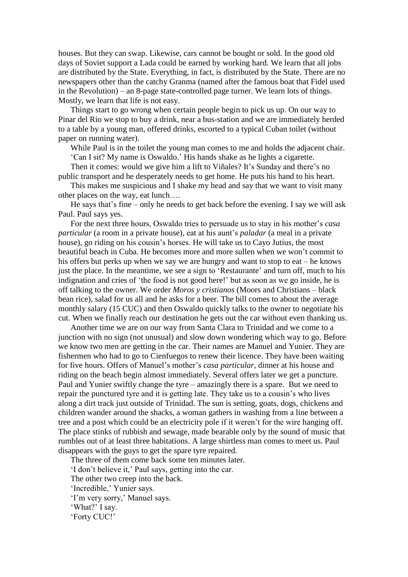houses. But they can swap. Likewise, cars cannot be bought or sold. In the good old days of Soviet support a Lada could be earned by working hard. We learn that all jobs are distributed by the State. Everything, in fact, is distributed by the State. There are no newspapers other than the catchy Granma (named after the famous boat that Fidel used in the Revolution) – an 8-page state-controlled page turner. We learn lots of things. Mostly, we learn that life is not easy.

Things start to go wrong when certain people begin to pick us up. On our way to Pinar del Rio we stop to buy a drink, near a bus-station and we are immediately herded to a table by a young man, offered drinks, escorted to a typical Cuban toilet (without paper on running water).

While Paul is in the toilet the young man comes to me and holds the adjacent chair. 'Can I sit? My name is Oswaldo.' His hands shake as he lights a cigarette.

Then it comes: would we give him a lift to Viñales? It's Sunday and there's no public transport and he desperately needs to get home. He puts his hand to his heart.

This makes me suspicious and I shake my head and say that we want to visit many other places on the way, eat lunch….

He says that's fine – only he needs to get back before the evening. I say we will ask Paul. Paul says yes.

For the next three hours, Oswaldo tries to persuade us to stay in his mother's *casa particular* (a room in a private house), eat at his aunt's *paladar* (a meal in a private house), go riding on his cousin's horses. He will take us to Cayo Jutius, the most beautiful beach in Cuba. He becomes more and more sullen when we won't commit to his offers but perks up when we say we are hungry and want to stop to eat – he knows just the place. In the meantime, we see a sign to 'Restaurante' and turn off, much to his indignation and cries of 'the food is not good here!' but as soon as we go inside, he is off talking to the owner. We order *Moros y cristianos* (Moors and Christians – black bean rice), salad for us all and he asks for a beer. The bill comes to about the average monthly salary (15 CUC) and then Oswaldo quickly talks to the owner to negotiate his cut. When we finally reach our destination he gets out the car without even thanking us.

Another time we are on our way from Santa Clara to Trinidad and we come to a junction with no sign (not unusual) and slow down wondering which way to go. Before we know two men are getting in the car. Their names are Manuel and Yunier. They are fishermen who had to go to Cienfuegos to renew their licence. They have been waiting for five hours. Offers of Manuel's mother's *casa particular*, dinner at his house and riding on the beach begin almost immediately. Several offers later we get a puncture. Paul and Yunier swiftly change the tyre – amazingly there is a spare. But we need to repair the punctured tyre and it is getting late. They take us to a cousin's who lives along a dirt track just outside of Trinidad. The sun is setting, goats, dogs, chickens and children wander around the shacks, a woman gathers in washing from a line between a tree and a post which could be an electricity pole if it weren't for the wire hanging off. The place stinks of rubbish and sewage, made bearable only by the sound of music that rumbles out of at least three habitations. A large shirtless man comes to meet us. Paul disappears with the guys to get the spare tyre repaired.

The three of them come back some ten minutes later. 'I don't believe it,' Paul says, getting into the car. The other two creep into the back. 'Incredible,' Yunier says. 'I'm very sorry,' Manuel says. 'What?' I say. 'Forty CUC!'